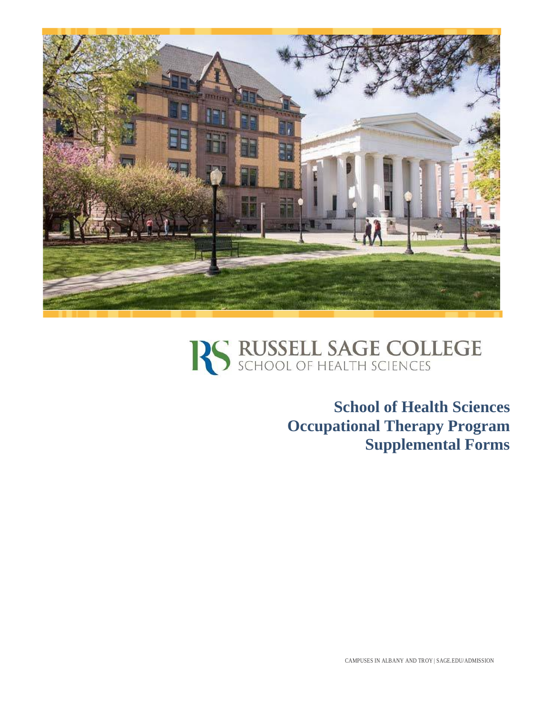



**School of Health Sciences Occupational Therapy Program Supplemental Forms**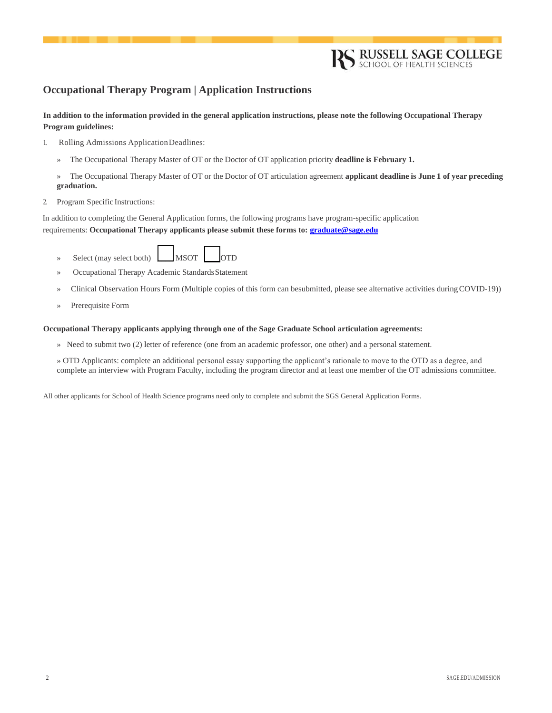## **Occupational Therapy Program | Application Instructions**

**In addition to the information provided in the general application instructions, please note the following Occupational Therapy Program guidelines:**

- 1. Rolling Admissions ApplicationDeadlines:
	- » The Occupational Therapy Master of OT or the Doctor of OT application priority **deadline is February 1.**
	- » The Occupational Therapy Master of OT or the Doctor of OT articulation agreement **applicant deadline is June 1 of year preceding graduation.**
- 2. Program Specific Instructions:

In addition to completing the General Application forms, the following programs have program-specific application requirements: **Occupational Therapy applicants please submit these forms to[: graduate@sage.edu](mailto:graduate@sage.edu)**

- $MSOT$ » Select (may select both) MSOT OTD
- » Occupational Therapy Academic Standards Statement
- » Clinical Observation Hours Form (Multiple copies of this form can besubmitted, please see alternative activities duringCOVID-19))
- » Prerequisite Form

## **Occupational Therapy applicants applying through one of the Sage Graduate School articulation agreements:**

» Need to submit two (2) letter of reference (one from an academic professor, one other) and a personal statement.

» OTD Applicants: complete an additional personal essay supporting the applicant's rationale to move to the OTD as a degree, and complete an interview with Program Faculty, including the program director and at least one member of the OT admissions committee.

All other applicants for School of Health Science programs need only to complete and submit the SGS General Application Forms.